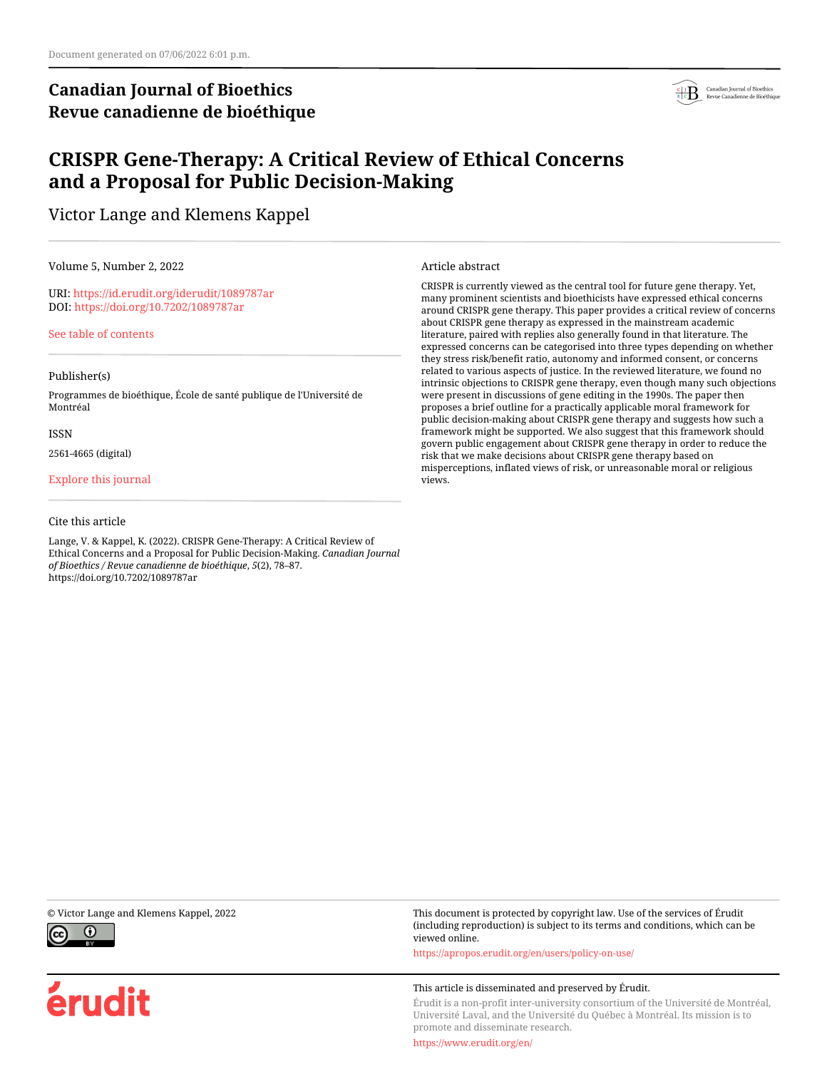# **Canadian Journal of Bioethics Revue canadienne de bioéthique**



# **CRISPR Gene-Therapy: A Critical Review of Ethical Concerns and a Proposal for Public Decision-Making**

Victor Lange and Klemens Kappel

Volume 5, Number 2, 2022

URI:<https://id.erudit.org/iderudit/1089787ar> DOI:<https://doi.org/10.7202/1089787ar>

[See table of contents](https://www.erudit.org/en/journals/bioethics/2022-v5-n2-bioethics07048/)

#### Publisher(s)

Programmes de bioéthique, École de santé publique de l'Université de Montréal

#### ISSN

2561-4665 (digital)

#### [Explore this journal](https://www.erudit.org/en/journals/bioethics/)

#### Cite this article

Lange, V. & Kappel, K. (2022). CRISPR Gene-Therapy: A Critical Review of Ethical Concerns and a Proposal for Public Decision-Making. *Canadian Journal of Bioethics / Revue canadienne de bioéthique*, *5*(2), 78–87. https://doi.org/10.7202/1089787ar

Article abstract

CRISPR is currently viewed as the central tool for future gene therapy. Yet, many prominent scientists and bioethicists have expressed ethical concerns around CRISPR gene therapy. This paper provides a critical review of concerns about CRISPR gene therapy as expressed in the mainstream academic literature, paired with replies also generally found in that literature. The expressed concerns can be categorised into three types depending on whether they stress risk/benefit ratio, autonomy and informed consent, or concerns related to various aspects of justice. In the reviewed literature, we found no intrinsic objections to CRISPR gene therapy, even though many such objections were present in discussions of gene editing in the 1990s. The paper then proposes a brief outline for a practically applicable moral framework for public decision-making about CRISPR gene therapy and suggests how such a framework might be supported. We also suggest that this framework should govern public engagement about CRISPR gene therapy in order to reduce the risk that we make decisions about CRISPR gene therapy based on misperceptions, inflated views of risk, or unreasonable moral or religious views.



érudit

© Victor Lange and Klemens Kappel, 2022 This document is protected by copyright law. Use of the services of Érudit (including reproduction) is subject to its terms and conditions, which can be viewed online.

<https://apropos.erudit.org/en/users/policy-on-use/>

#### This article is disseminated and preserved by Érudit.

Érudit is a non-profit inter-university consortium of the Université de Montréal, Université Laval, and the Université du Québec à Montréal. Its mission is to promote and disseminate research.

<https://www.erudit.org/en/>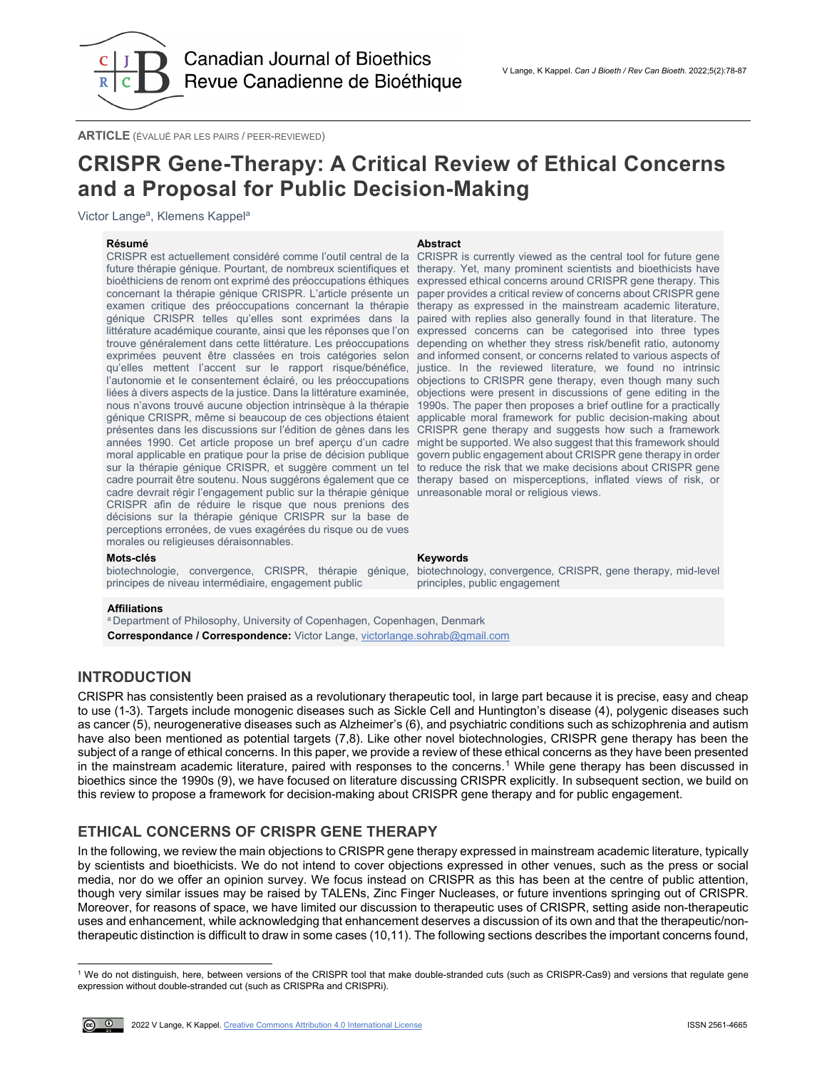

**ARTICLE** (ÉVALUÉ PAR LES PAIRS / PEER-REVIEWED)

# **CRISPR Gene-Therapy: A Critical Review of Ethical Concerns and a Proposal for Public Decision-Making**

Victor Lange<sup>a</sup>, Klemens Kappel<sup>a</sup>

### **Résumé Abstract**

CRISPR est actuellement considéré comme l'outil central de la future thérapie génique. Pourtant, de nombreux scientifiques et therapy. Yet, many prominent scientists and bioethicists have bioéthiciens de renom ont exprimé des préoccupations éthiques expressed ethical concerns around CRISPR gene therapy. This concernant la thérapie génique CRISPR. L'article présente un paper provides a critical review of concerns about CRISPR gene examen critique des préoccupations concernant la thérapie génique CRISPR telles qu'elles sont exprimées dans la paired with replies also generally found in that literature. The littérature académique courante, ainsi que les réponses que l'on expressed concerns can be categorised into three types trouve généralement dans cette littérature. Les préoccupations depending on whether they stress risk/benefit ratio, autonomy exprimées peuvent être classées en trois catégories selon qu'elles mettent l'accent sur le rapport risque/bénéfice, justice. In the reviewed literature, we found no intrinsic l'autonomie et le consentement éclairé, ou les préoccupations objections to CRISPR gene therapy, even though many such liées à divers aspects de la justice. Dans la littérature examinée, nous n'avons trouvé aucune objection intrinsèque à la thérapie génique CRISPR, même si beaucoup de ces objections étaient applicable moral framework for public decision-making about présentes dans les discussions sur l'édition de gènes dans les années 1990. Cet article propose un bref aperçu d'un cadre moral applicable en pratique pour la prise de décision publique sur la thérapie génique CRISPR, et suggère comment un tel to reduce the risk that we make decisions about CRISPR gene cadre pourrait être soutenu. Nous suggérons également que ce therapy based on misperceptions, inflated views of risk, or cadre devrait régir l'engagement public sur la thérapie génique unreasonable moral or religious views. CRISPR afin de réduire le risque que nous prenions des décisions sur la thérapie génique CRISPR sur la base de perceptions erronées, de vues exagérées du risque ou de vues morales ou religieuses déraisonnables.

CRISPR is currently viewed as the central tool for future gene therapy as expressed in the mainstream academic literature, and informed consent, or concerns related to various aspects of objections were present in discussions of gene editing in the 1990s. The paper then proposes a brief outline for a practically CRISPR gene therapy and suggests how such a framework might be supported. We also suggest that this framework should govern public engagement about CRISPR gene therapy in order

#### **Mots-clés Keywords**

principes de niveau intermédiaire, engagement public

biotechnologie, convergence, CRISPR, thérapie génique, biotechnology, convergence, CRISPR, gene therapy, mid-level principles, public engagement

#### **Affiliations**

<sup>a</sup> Department of Philosophy, University of Copenhagen, Copenhagen, Denmark **Correspondance / Correspondence:** Victor Lange[, victorlange.sohrab@gmail.com](mailto:victorlange.sohrab@gmail.com)

# **INTRODUCTION**

CRISPR has consistently been praised as a revolutionary therapeutic tool, in large part because it is precise, easy and cheap to use (1-3). Targets include monogenic diseases such as Sickle Cell and Huntington's disease (4), polygenic diseases such as cancer (5), neurogenerative diseases such as Alzheimer's (6), and psychiatric conditions such as schizophrenia and autism have also been mentioned as potential targets (7,8). Like other novel biotechnologies, CRISPR gene therapy has been the subject of a range of ethical concerns. In this paper, we provide a review of these ethical concerns as they have been presented in the mainstream academic literature, paired with responses to the concerns.<sup>[1](#page-1-0)</sup> While gene therapy has been discussed in bioethics since the 1990s (9), we have focused on literature discussing CRISPR explicitly. In subsequent section, we build on this review to propose a framework for decision-making about CRISPR gene therapy and for public engagement.

# **ETHICAL CONCERNS OF CRISPR GENE THERAPY**

In the following, we review the main objections to CRISPR gene therapy expressed in mainstream academic literature, typically by scientists and bioethicists. We do not intend to cover objections expressed in other venues, such as the press or social media, nor do we offer an opinion survey. We focus instead on CRISPR as this has been at the centre of public attention, though very similar issues may be raised by TALENs, Zinc Finger Nucleases, or future inventions springing out of CRISPR. Moreover, for reasons of space, we have limited our discussion to therapeutic uses of CRISPR, setting aside non-therapeutic uses and enhancement, while acknowledging that enhancement deserves a discussion of its own and that the therapeutic/nontherapeutic distinction is difficult to draw in some cases (10,11). The following sections describes the important concerns found,

<span id="page-1-0"></span><sup>1</sup> We do not distinguish, here, between versions of the CRISPR tool that make double-stranded cuts (such as CRISPR-Cas9) and versions that regulate gene expression without double-stranded cut (such as CRISPRa and CRISPRi).



l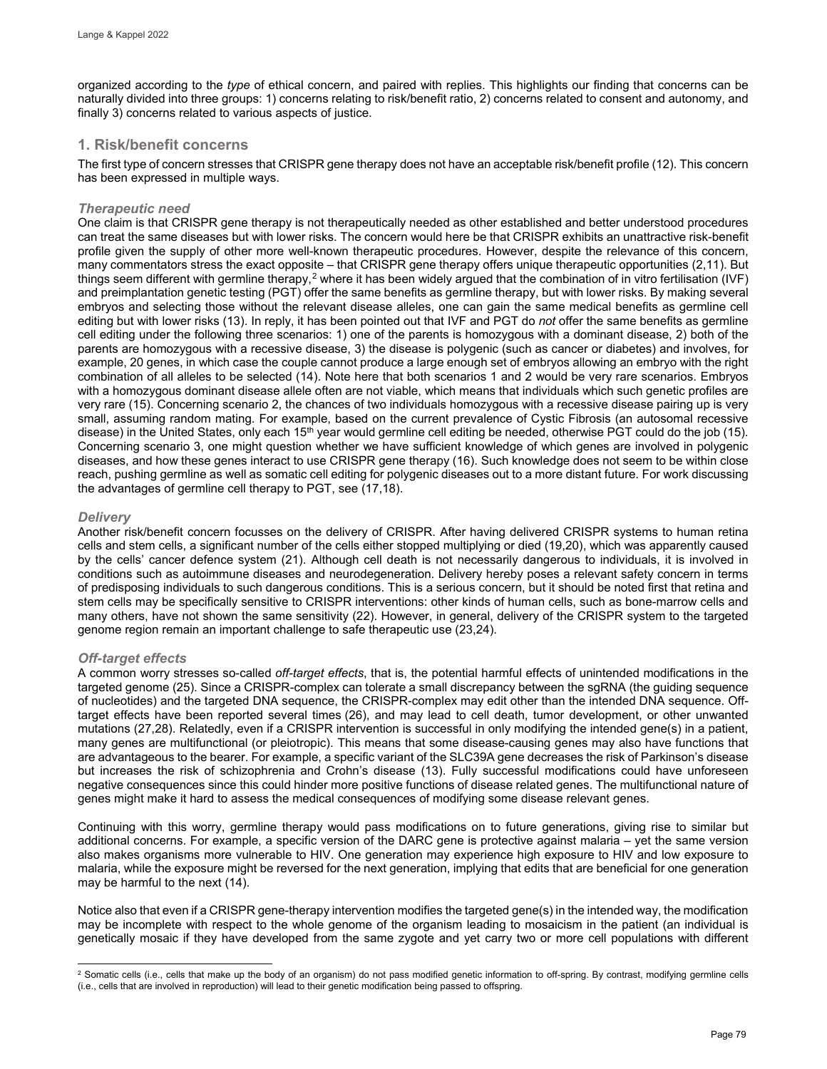organized according to the *type* of ethical concern, and paired with replies. This highlights our finding that concerns can be naturally divided into three groups: 1) concerns relating to risk/benefit ratio, 2) concerns related to consent and autonomy, and finally 3) concerns related to various aspects of justice.

# **1. Risk/benefit concerns**

The first type of concern stresses that CRISPR gene therapy does not have an acceptable risk/benefit profile (12). This concern has been expressed in multiple ways.

### *Therapeutic need*

One claim is that CRISPR gene therapy is not therapeutically needed as other established and better understood procedures can treat the same diseases but with lower risks. The concern would here be that CRISPR exhibits an unattractive risk-benefit profile given the supply of other more well-known therapeutic procedures. However, despite the relevance of this concern, many commentators stress the exact opposite – that CRISPR gene therapy offers unique therapeutic opportunities (2,11). But things seem different with germline therapy,[2](#page-2-0) where it has been widely argued that the combination of in vitro fertilisation (IVF) and preimplantation genetic testing (PGT) offer the same benefits as germline therapy, but with lower risks. By making several embryos and selecting those without the relevant disease alleles, one can gain the same medical benefits as germline cell editing but with lower risks (13). In reply, it has been pointed out that IVF and PGT do *not* offer the same benefits as germline cell editing under the following three scenarios: 1) one of the parents is homozygous with a dominant disease, 2) both of the parents are homozygous with a recessive disease, 3) the disease is polygenic (such as cancer or diabetes) and involves, for example, 20 genes, in which case the couple cannot produce a large enough set of embryos allowing an embryo with the right combination of all alleles to be selected (14). Note here that both scenarios 1 and 2 would be very rare scenarios. Embryos with a homozygous dominant disease allele often are not viable, which means that individuals which such genetic profiles are very rare (15). Concerning scenario 2, the chances of two individuals homozygous with a recessive disease pairing up is very small, assuming random mating. For example, based on the current prevalence of Cystic Fibrosis (an autosomal recessive disease) in the United States, only each 15<sup>th</sup> year would germline cell editing be needed, otherwise PGT could do the job (15). Concerning scenario 3, one might question whether we have sufficient knowledge of which genes are involved in polygenic diseases, and how these genes interact to use CRISPR gene therapy (16). Such knowledge does not seem to be within close reach, pushing germline as well as somatic cell editing for polygenic diseases out to a more distant future. For work discussing the advantages of germline cell therapy to PGT, see (17,18).

### *Delivery*

Another risk/benefit concern focusses on the delivery of CRISPR. After having delivered CRISPR systems to human retina cells and stem cells, a significant number of the cells either stopped multiplying or died (19,20), which was apparently caused by the cells' cancer defence system (21). Although cell death is not necessarily dangerous to individuals, it is involved in conditions such as autoimmune diseases and neurodegeneration. Delivery hereby poses a relevant safety concern in terms of predisposing individuals to such dangerous conditions. This is a serious concern, but it should be noted first that retina and stem cells may be specifically sensitive to CRISPR interventions: other kinds of human cells, such as bone-marrow cells and many others, have not shown the same sensitivity (22). However, in general, delivery of the CRISPR system to the targeted genome region remain an important challenge to safe therapeutic use (23,24).

## *Off-target effects*

A common worry stresses so-called *off-target effects*, that is, the potential harmful effects of unintended modifications in the targeted genome (25). Since a CRISPR-complex can tolerate a small discrepancy between the sgRNA (the guiding sequence of nucleotides) and the targeted DNA sequence, the CRISPR-complex may edit other than the intended DNA sequence. Offtarget effects have been reported several times (26), and may lead to cell death, tumor development, or other unwanted mutations (27,28). Relatedly, even if a CRISPR intervention is successful in only modifying the intended gene(s) in a patient, many genes are multifunctional (or pleiotropic). This means that some disease-causing genes may also have functions that are advantageous to the bearer. For example, a specific variant of the SLC39A gene decreases the risk of Parkinson's disease but increases the risk of schizophrenia and Crohn's disease (13). Fully successful modifications could have unforeseen negative consequences since this could hinder more positive functions of disease related genes. The multifunctional nature of genes might make it hard to assess the medical consequences of modifying some disease relevant genes.

Continuing with this worry, germline therapy would pass modifications on to future generations, giving rise to similar but additional concerns. For example, a specific version of the DARC gene is protective against malaria – yet the same version also makes organisms more vulnerable to HIV. One generation may experience high exposure to HIV and low exposure to malaria, while the exposure might be reversed for the next generation, implying that edits that are beneficial for one generation may be harmful to the next (14).

Notice also that even if a CRISPR gene-therapy intervention modifies the targeted gene(s) in the intended way, the modification may be incomplete with respect to the whole genome of the organism leading to mosaicism in the patient (an individual is genetically mosaic if they have developed from the same zygote and yet carry two or more cell populations with different

<span id="page-2-0"></span>l  $^2$  Somatic cells (i.e., cells that make up the body of an organism) do not pass modified genetic information to off-spring. By contrast, modifying germline cells (i.e., cells that are involved in reproduction) will lead to their genetic modification being passed to offspring.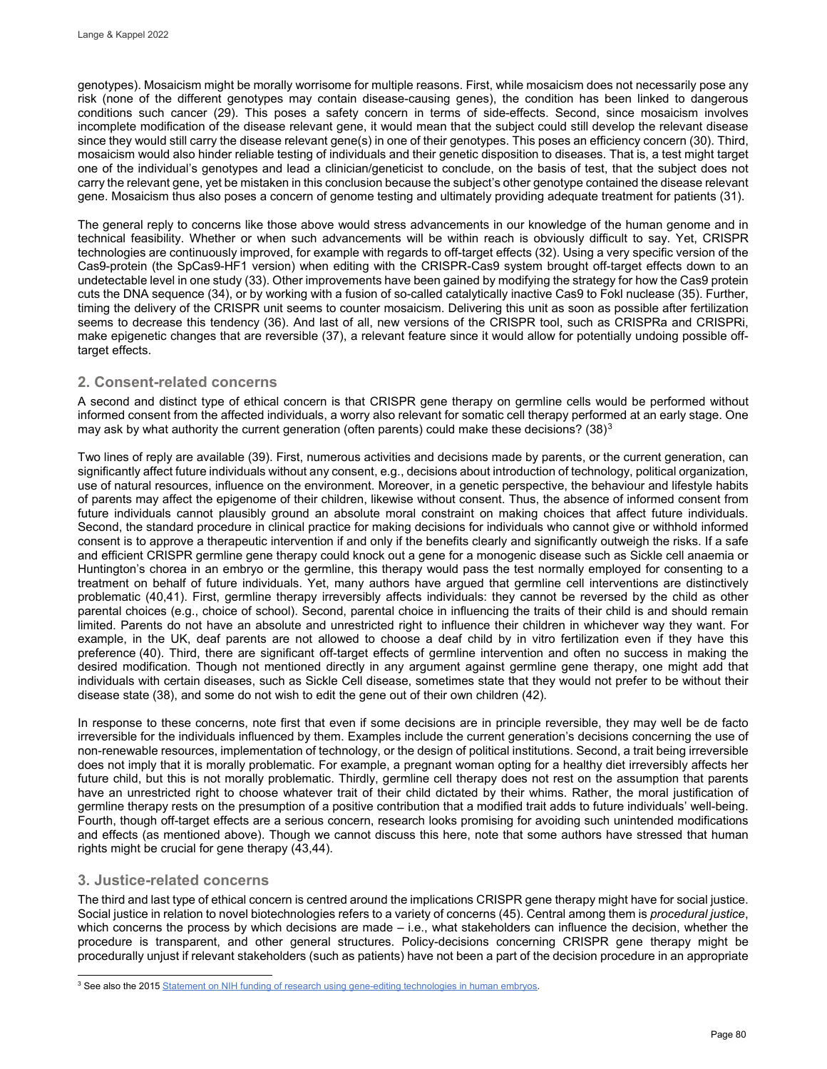genotypes). Mosaicism might be morally worrisome for multiple reasons. First, while mosaicism does not necessarily pose any risk (none of the different genotypes may contain disease-causing genes), the condition has been linked to dangerous conditions such cancer (29). This poses a safety concern in terms of side-effects. Second, since mosaicism involves incomplete modification of the disease relevant gene, it would mean that the subject could still develop the relevant disease since they would still carry the disease relevant gene(s) in one of their genotypes. This poses an efficiency concern (30). Third, mosaicism would also hinder reliable testing of individuals and their genetic disposition to diseases. That is, a test might target one of the individual's genotypes and lead a clinician/geneticist to conclude, on the basis of test, that the subject does not carry the relevant gene, yet be mistaken in this conclusion because the subject's other genotype contained the disease relevant gene. Mosaicism thus also poses a concern of genome testing and ultimately providing adequate treatment for patients (31).

The general reply to concerns like those above would stress advancements in our knowledge of the human genome and in technical feasibility. Whether or when such advancements will be within reach is obviously difficult to say. Yet, CRISPR technologies are continuously improved, for example with regards to off-target effects (32). Using a very specific version of the Cas9-protein (the SpCas9-HF1 version) when editing with the CRISPR-Cas9 system brought off-target effects down to an undetectable level in one study (33). Other improvements have been gained by modifying the strategy for how the Cas9 protein cuts the DNA sequence (34), or by working with a fusion of so-called catalytically inactive Cas9 to Fokl nuclease (35). Further, timing the delivery of the CRISPR unit seems to counter mosaicism. Delivering this unit as soon as possible after fertilization seems to decrease this tendency (36). And last of all, new versions of the CRISPR tool, such as CRISPRa and CRISPRi, make epigenetic changes that are reversible (37), a relevant feature since it would allow for potentially undoing possible offtarget effects.

# **2. Consent-related concerns**

A second and distinct type of ethical concern is that CRISPR gene therapy on germline cells would be performed without informed consent from the affected individuals, a worry also relevant for somatic cell therapy performed at an early stage. One may ask by what authority the current generation (often parents) could make these decisions?  $(38)^3$  $(38)^3$  $(38)^3$ 

Two lines of reply are available (39). First, numerous activities and decisions made by parents, or the current generation, can significantly affect future individuals without any consent, e.g., decisions about introduction of technology, political organization, use of natural resources, influence on the environment. Moreover, in a genetic perspective, the behaviour and lifestyle habits of parents may affect the epigenome of their children, likewise without consent. Thus, the absence of informed consent from future individuals cannot plausibly ground an absolute moral constraint on making choices that affect future individuals. Second, the standard procedure in clinical practice for making decisions for individuals who cannot give or withhold informed consent is to approve a therapeutic intervention if and only if the benefits clearly and significantly outweigh the risks. If a safe and efficient CRISPR germline gene therapy could knock out a gene for a monogenic disease such as Sickle cell anaemia or Huntington's chorea in an embryo or the germline, this therapy would pass the test normally employed for consenting to a treatment on behalf of future individuals. Yet, many authors have argued that germline cell interventions are distinctively problematic (40,41). First, germline therapy irreversibly affects individuals: they cannot be reversed by the child as other parental choices (e.g., choice of school). Second, parental choice in influencing the traits of their child is and should remain limited. Parents do not have an absolute and unrestricted right to influence their children in whichever way they want. For example, in the UK, deaf parents are not allowed to choose a deaf child by in vitro fertilization even if they have this preference (40). Third, there are significant off-target effects of germline intervention and often no success in making the desired modification. Though not mentioned directly in any argument against germline gene therapy, one might add that individuals with certain diseases, such as Sickle Cell disease, sometimes state that they would not prefer to be without their disease state (38), and some do not wish to edit the gene out of their own children (42).

In response to these concerns, note first that even if some decisions are in principle reversible, they may well be de facto irreversible for the individuals influenced by them. Examples include the current generation's decisions concerning the use of non-renewable resources, implementation of technology, or the design of political institutions. Second, a trait being irreversible does not imply that it is morally problematic. For example, a pregnant woman opting for a healthy diet irreversibly affects her future child, but this is not morally problematic. Thirdly, germline cell therapy does not rest on the assumption that parents have an unrestricted right to choose whatever trait of their child dictated by their whims. Rather, the moral justification of germline therapy rests on the presumption of a positive contribution that a modified trait adds to future individuals' well-being. Fourth, though off-target effects are a serious concern, research looks promising for avoiding such unintended modifications and effects (as mentioned above). Though we cannot discuss this here, note that some authors have stressed that human rights might be crucial for gene therapy (43,44).

# **3. Justice-related concerns**

The third and last type of ethical concern is centred around the implications CRISPR gene therapy might have for social justice. Social justice in relation to novel biotechnologies refers to a variety of concerns (45). Central among them is *procedural justice*, which concerns the process by which decisions are made – i.e., what stakeholders can influence the decision, whether the procedure is transparent, and other general structures. Policy-decisions concerning CRISPR gene therapy might be procedurally unjust if relevant stakeholders (such as patients) have not been a part of the decision procedure in an appropriate

<span id="page-3-0"></span>j <sup>3</sup> See also the 2015 <u>Statement on NIH funding of research using gene-editing technologies in human embryos.</u>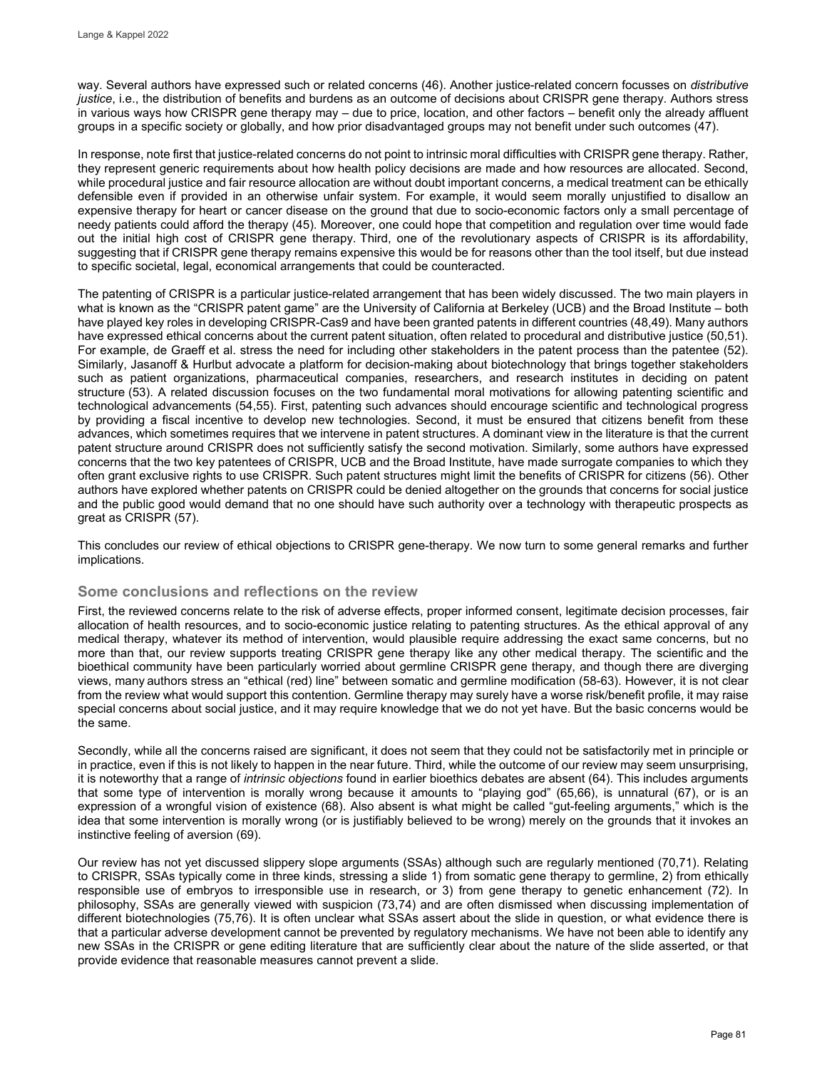way. Several authors have expressed such or related concerns (46). Another justice-related concern focusses on *distributive justice*, i.e., the distribution of benefits and burdens as an outcome of decisions about CRISPR gene therapy. Authors stress in various ways how CRISPR gene therapy may – due to price, location, and other factors – benefit only the already affluent groups in a specific society or globally, and how prior disadvantaged groups may not benefit under such outcomes (47).

In response, note first that justice-related concerns do not point to intrinsic moral difficulties with CRISPR gene therapy. Rather, they represent generic requirements about how health policy decisions are made and how resources are allocated. Second, while procedural justice and fair resource allocation are without doubt important concerns, a medical treatment can be ethically defensible even if provided in an otherwise unfair system. For example, it would seem morally unjustified to disallow an expensive therapy for heart or cancer disease on the ground that due to socio-economic factors only a small percentage of needy patients could afford the therapy (45). Moreover, one could hope that competition and regulation over time would fade out the initial high cost of CRISPR gene therapy. Third, one of the revolutionary aspects of CRISPR is its affordability, suggesting that if CRISPR gene therapy remains expensive this would be for reasons other than the tool itself, but due instead to specific societal, legal, economical arrangements that could be counteracted.

The patenting of CRISPR is a particular justice-related arrangement that has been widely discussed. The two main players in what is known as the "CRISPR patent game" are the University of California at Berkeley (UCB) and the Broad Institute – both have played key roles in developing CRISPR-Cas9 and have been granted patents in different countries (48,49). Many authors have expressed ethical concerns about the current patent situation, often related to procedural and distributive justice (50,51). For example, de Graeff et al. stress the need for including other stakeholders in the patent process than the patentee (52). Similarly, Jasanoff & Hurlbut advocate a platform for decision-making about biotechnology that brings together stakeholders such as patient organizations, pharmaceutical companies, researchers, and research institutes in deciding on patent structure (53). A related discussion focuses on the two fundamental moral motivations for allowing patenting scientific and technological advancements (54,55). First, patenting such advances should encourage scientific and technological progress by providing a fiscal incentive to develop new technologies. Second, it must be ensured that citizens benefit from these advances, which sometimes requires that we intervene in patent structures. A dominant view in the literature is that the current patent structure around CRISPR does not sufficiently satisfy the second motivation. Similarly, some authors have expressed concerns that the two key patentees of CRISPR, UCB and the Broad Institute, have made surrogate companies to which they often grant exclusive rights to use CRISPR. Such patent structures might limit the benefits of CRISPR for citizens (56). Other authors have explored whether patents on CRISPR could be denied altogether on the grounds that concerns for social justice and the public good would demand that no one should have such authority over a technology with therapeutic prospects as great as CRISPR (57).

This concludes our review of ethical objections to CRISPR gene-therapy. We now turn to some general remarks and further implications.

## **Some conclusions and reflections on the review**

First, the reviewed concerns relate to the risk of adverse effects, proper informed consent, legitimate decision processes, fair allocation of health resources, and to socio-economic justice relating to patenting structures. As the ethical approval of any medical therapy, whatever its method of intervention, would plausible require addressing the exact same concerns, but no more than that, our review supports treating CRISPR gene therapy like any other medical therapy. The scientific and the bioethical community have been particularly worried about germline CRISPR gene therapy, and though there are diverging views, many authors stress an "ethical (red) line" between somatic and germline modification (58-63). However, it is not clear from the review what would support this contention. Germline therapy may surely have a worse risk/benefit profile, it may raise special concerns about social justice, and it may require knowledge that we do not yet have. But the basic concerns would be the same.

Secondly, while all the concerns raised are significant, it does not seem that they could not be satisfactorily met in principle or in practice, even if this is not likely to happen in the near future. Third, while the outcome of our review may seem unsurprising, it is noteworthy that a range of *intrinsic objections* found in earlier bioethics debates are absent (64). This includes arguments that some type of intervention is morally wrong because it amounts to "playing god" (65,66), is unnatural (67), or is an expression of a wrongful vision of existence (68). Also absent is what might be called "gut-feeling arguments," which is the idea that some intervention is morally wrong (or is justifiably believed to be wrong) merely on the grounds that it invokes an instinctive feeling of aversion (69).

Our review has not yet discussed slippery slope arguments (SSAs) although such are regularly mentioned (70,71). Relating to CRISPR, SSAs typically come in three kinds, stressing a slide 1) from somatic gene therapy to germline, 2) from ethically responsible use of embryos to irresponsible use in research, or 3) from gene therapy to genetic enhancement (72). In philosophy, SSAs are generally viewed with suspicion (73,74) and are often dismissed when discussing implementation of different biotechnologies (75,76). It is often unclear what SSAs assert about the slide in question, or what evidence there is that a particular adverse development cannot be prevented by regulatory mechanisms. We have not been able to identify any new SSAs in the CRISPR or gene editing literature that are sufficiently clear about the nature of the slide asserted, or that provide evidence that reasonable measures cannot prevent a slide.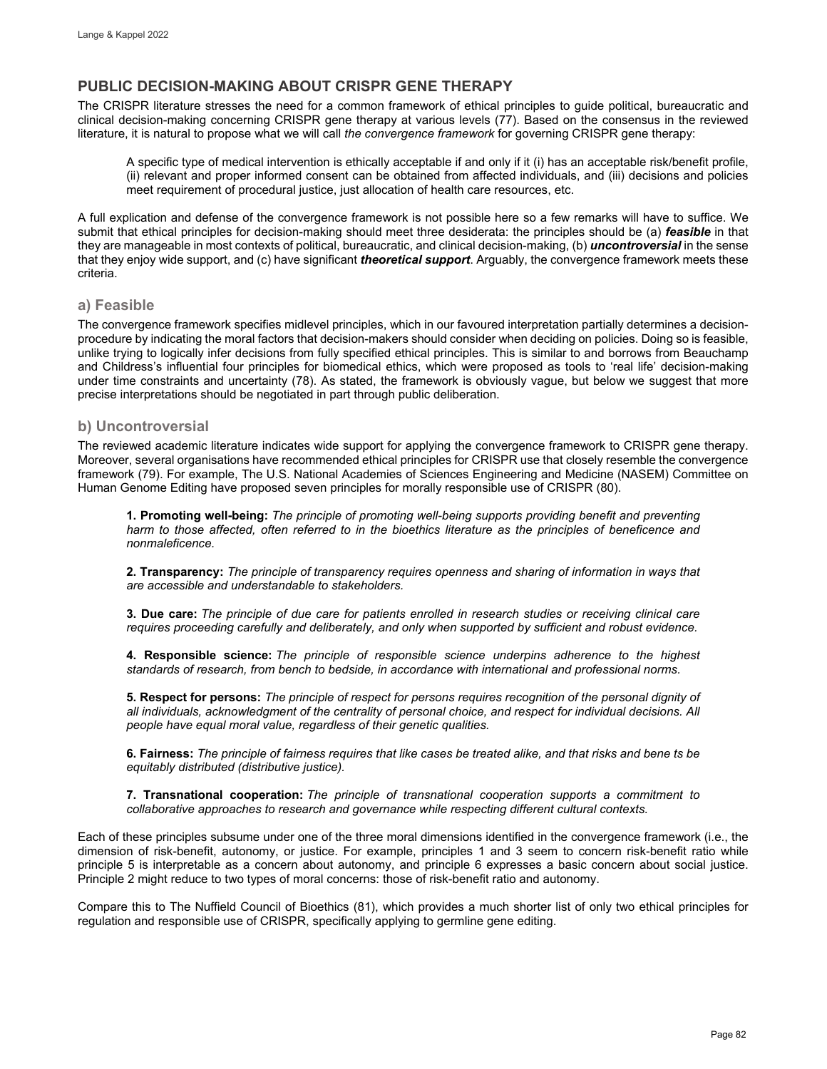# **PUBLIC DECISION-MAKING ABOUT CRISPR GENE THERAPY**

The CRISPR literature stresses the need for a common framework of ethical principles to guide political, bureaucratic and clinical decision-making concerning CRISPR gene therapy at various levels (77). Based on the consensus in the reviewed literature, it is natural to propose what we will call *the convergence framework* for governing CRISPR gene therapy:

A specific type of medical intervention is ethically acceptable if and only if it (i) has an acceptable risk/benefit profile, (ii) relevant and proper informed consent can be obtained from affected individuals, and (iii) decisions and policies meet requirement of procedural justice, just allocation of health care resources, etc.

A full explication and defense of the convergence framework is not possible here so a few remarks will have to suffice. We submit that ethical principles for decision-making should meet three desiderata: the principles should be (a) *feasible* in that they are manageable in most contexts of political, bureaucratic, and clinical decision-making, (b) *uncontroversial* in the sense that they enjoy wide support, and (c) have significant *theoretical support*. Arguably, the convergence framework meets these criteria.

## **a) Feasible**

The convergence framework specifies midlevel principles, which in our favoured interpretation partially determines a decisionprocedure by indicating the moral factors that decision-makers should consider when deciding on policies. Doing so is feasible, unlike trying to logically infer decisions from fully specified ethical principles. This is similar to and borrows from Beauchamp and Childress's influential four principles for biomedical ethics, which were proposed as tools to 'real life' decision-making under time constraints and uncertainty (78). As stated, the framework is obviously vague, but below we suggest that more precise interpretations should be negotiated in part through public deliberation.

# **b) Uncontroversial**

The reviewed academic literature indicates wide support for applying the convergence framework to CRISPR gene therapy. Moreover, several organisations have recommended ethical principles for CRISPR use that closely resemble the convergence framework (79). For example, The U.S. National Academies of Sciences Engineering and Medicine (NASEM) Committee on Human Genome Editing have proposed seven principles for morally responsible use of CRISPR (80).

**1. Promoting well-being:** *The principle of promoting well-being supports providing benefit and preventing harm to those affected, often referred to in the bioethics literature as the principles of beneficence and nonmaleficence.*

**2. Transparency:** *The principle of transparency requires openness and sharing of information in ways that are accessible and understandable to stakeholders.*

**3. Due care:** *The principle of due care for patients enrolled in research studies or receiving clinical care requires proceeding carefully and deliberately, and only when supported by sufficient and robust evidence.*

**4. Responsible science:** *The principle of responsible science underpins adherence to the highest standards of research, from bench to bedside, in accordance with international and professional norms.*

**5. Respect for persons:** *The principle of respect for persons requires recognition of the personal dignity of all individuals, acknowledgment of the centrality of personal choice, and respect for individual decisions. All people have equal moral value, regardless of their genetic qualities.*

**6. Fairness:** *The principle of fairness requires that like cases be treated alike, and that risks and bene ts be equitably distributed (distributive justice).*

**7. Transnational cooperation:** *The principle of transnational cooperation supports a commitment to collaborative approaches to research and governance while respecting different cultural contexts.*

Each of these principles subsume under one of the three moral dimensions identified in the convergence framework (i.e., the dimension of risk-benefit, autonomy, or justice. For example, principles 1 and 3 seem to concern risk-benefit ratio while principle 5 is interpretable as a concern about autonomy, and principle 6 expresses a basic concern about social justice. Principle 2 might reduce to two types of moral concerns: those of risk-benefit ratio and autonomy.

Compare this to The Nuffield Council of Bioethics (81), which provides a much shorter list of only two ethical principles for regulation and responsible use of CRISPR, specifically applying to germline gene editing.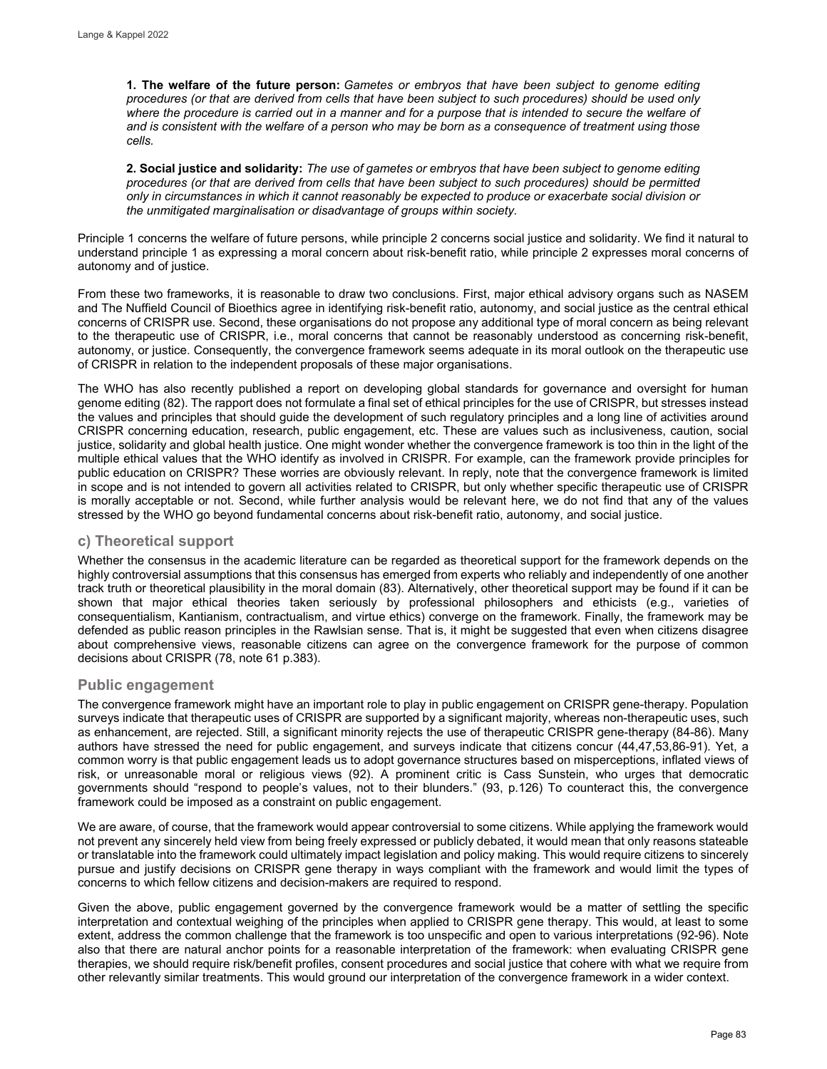**1. The welfare of the future person:** *Gametes or embryos that have been subject to genome editing procedures (or that are derived from cells that have been subject to such procedures) should be used only*  where the procedure is carried out in a manner and for a purpose that is intended to secure the welfare of *and is consistent with the welfare of a person who may be born as a consequence of treatment using those cells.*

**2. Social justice and solidarity:** *The use of gametes or embryos that have been subject to genome editing procedures (or that are derived from cells that have been subject to such procedures) should be permitted only in circumstances in which it cannot reasonably be expected to produce or exacerbate social division or the unmitigated marginalisation or disadvantage of groups within society.*

Principle 1 concerns the welfare of future persons, while principle 2 concerns social justice and solidarity. We find it natural to understand principle 1 as expressing a moral concern about risk-benefit ratio, while principle 2 expresses moral concerns of autonomy and of justice.

From these two frameworks, it is reasonable to draw two conclusions. First, major ethical advisory organs such as NASEM and The Nuffield Council of Bioethics agree in identifying risk-benefit ratio, autonomy, and social justice as the central ethical concerns of CRISPR use. Second, these organisations do not propose any additional type of moral concern as being relevant to the therapeutic use of CRISPR, i.e., moral concerns that cannot be reasonably understood as concerning risk-benefit, autonomy, or justice. Consequently, the convergence framework seems adequate in its moral outlook on the therapeutic use of CRISPR in relation to the independent proposals of these major organisations.

The WHO has also recently published a report on developing global standards for governance and oversight for human genome editing (82). The rapport does not formulate a final set of ethical principles for the use of CRISPR, but stresses instead the values and principles that should guide the development of such regulatory principles and a long line of activities around CRISPR concerning education, research, public engagement, etc. These are values such as inclusiveness, caution, social justice, solidarity and global health justice. One might wonder whether the convergence framework is too thin in the light of the multiple ethical values that the WHO identify as involved in CRISPR. For example, can the framework provide principles for public education on CRISPR? These worries are obviously relevant. In reply, note that the convergence framework is limited in scope and is not intended to govern all activities related to CRISPR, but only whether specific therapeutic use of CRISPR is morally acceptable or not. Second, while further analysis would be relevant here, we do not find that any of the values stressed by the WHO go beyond fundamental concerns about risk-benefit ratio, autonomy, and social justice.

# **c) Theoretical support**

Whether the consensus in the academic literature can be regarded as theoretical support for the framework depends on the highly controversial assumptions that this consensus has emerged from experts who reliably and independently of one another track truth or theoretical plausibility in the moral domain (83). Alternatively, other theoretical support may be found if it can be shown that major ethical theories taken seriously by professional philosophers and ethicists (e.g., varieties of consequentialism, Kantianism, contractualism, and virtue ethics) converge on the framework. Finally, the framework may be defended as public reason principles in the Rawlsian sense. That is, it might be suggested that even when citizens disagree about comprehensive views, reasonable citizens can agree on the convergence framework for the purpose of common decisions about CRISPR (78, note 61 p.383).

## **Public engagement**

The convergence framework might have an important role to play in public engagement on CRISPR gene-therapy. Population surveys indicate that therapeutic uses of CRISPR are supported by a significant majority, whereas non-therapeutic uses, such as enhancement, are rejected. Still, a significant minority rejects the use of therapeutic CRISPR gene-therapy (84-86). Many authors have stressed the need for public engagement, and surveys indicate that citizens concur (44,47,53,86-91). Yet, a common worry is that public engagement leads us to adopt governance structures based on misperceptions, inflated views of risk, or unreasonable moral or religious views (92). A prominent critic is Cass Sunstein, who urges that democratic governments should "respond to people's values, not to their blunders." (93, p.126) To counteract this, the convergence framework could be imposed as a constraint on public engagement.

We are aware, of course, that the framework would appear controversial to some citizens. While applying the framework would not prevent any sincerely held view from being freely expressed or publicly debated, it would mean that only reasons stateable or translatable into the framework could ultimately impact legislation and policy making. This would require citizens to sincerely pursue and justify decisions on CRISPR gene therapy in ways compliant with the framework and would limit the types of concerns to which fellow citizens and decision-makers are required to respond.

Given the above, public engagement governed by the convergence framework would be a matter of settling the specific interpretation and contextual weighing of the principles when applied to CRISPR gene therapy. This would, at least to some extent, address the common challenge that the framework is too unspecific and open to various interpretations (92-96). Note also that there are natural anchor points for a reasonable interpretation of the framework: when evaluating CRISPR gene therapies, we should require risk/benefit profiles, consent procedures and social justice that cohere with what we require from other relevantly similar treatments. This would ground our interpretation of the convergence framework in a wider context.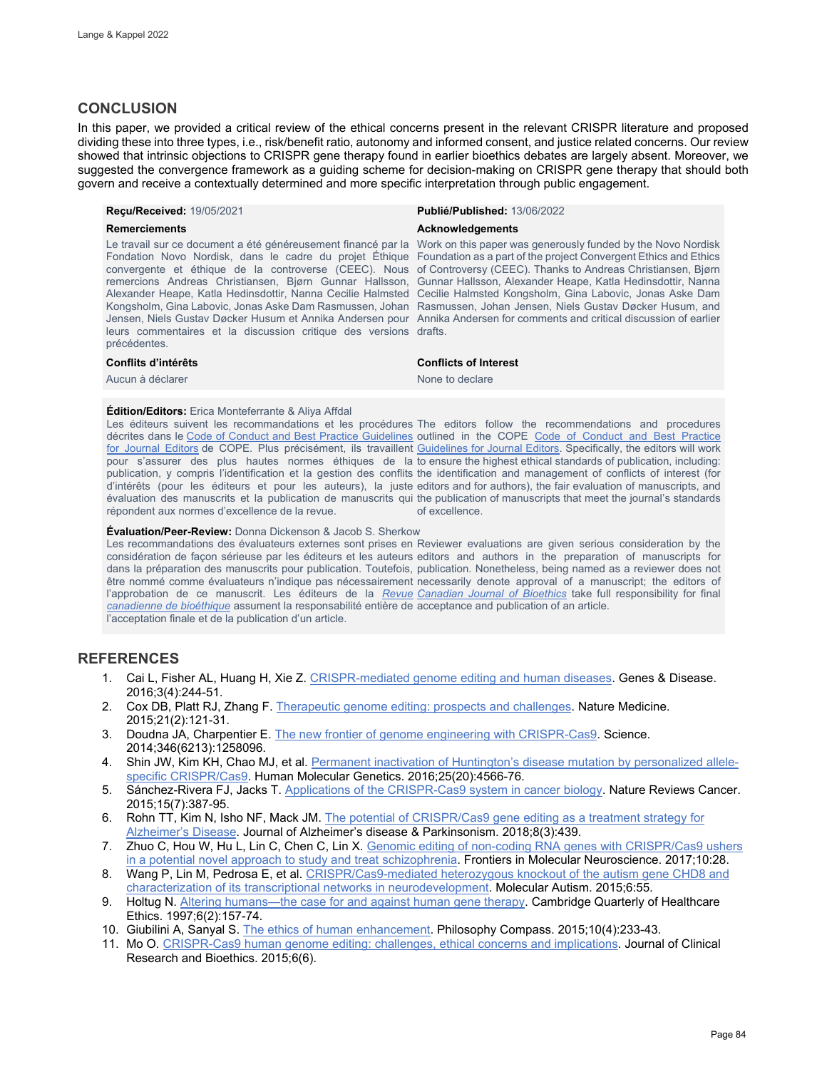# **CONCLUSION**

In this paper, we provided a critical review of the ethical concerns present in the relevant CRISPR literature and proposed dividing these into three types, i.e., risk/benefit ratio, autonomy and informed consent, and justice related concerns. Our review showed that intrinsic objections to CRISPR gene therapy found in earlier bioethics debates are largely absent. Moreover, we suggested the convergence framework as a guiding scheme for decision-making on CRISPR gene therapy that should both govern and receive a contextually determined and more specific interpretation through public engagement.

### **Reçu/Received:** 19/05/2021 **Publié/Published:** 13/06/2022

Le travail sur ce document a été généreusement financé par la Work on this paper was generously funded by the Novo Nordisk Fondation Novo Nordisk, dans le cadre du projet Éthique Foundation as a part of the project Convergent Ethics and Ethics convergente et éthique de la controverse (CEEC). Nous of Controversy (CEEC). Thanks to Andreas Christiansen, Bjørn remercions Andreas Christiansen, Bjørn Gunnar Hallsson, Gunnar Hallsson, Alexander Heape, Katla Hedinsdottir, Nanna Alexander Heape, Katla Hedinsdottir, Nanna Cecilie Halmsted Cecilie Halmsted Kongsholm, Gina Labovic, Jonas Aske Dam Kongsholm, Gina Labovic, Jonas Aske Dam Rasmussen, Johan Rasmussen, Johan Jensen, Niels Gustav Døcker Husum, and Jensen, Niels Gustav Døcker Husum et Annika Andersen pour Annika Andersen for comments and critical discussion of earlier leurs commentaires et la discussion critique des versions drafts. précédentes.

es a déclarer de la communité de la commune de la commune de la commune de la commune de la commune de la commune de la commune de la commune de la commune de la commune de la commune de la commune de la commune de la comm

#### **Remerciements Acknowledgements** *Acknowledgements*

#### **Conflits d'intérêts Conflicts of Interest**

#### **Édition/Editors:** Erica Monteferrante & Aliya Affdal

Les éditeurs suivent les recommandations et les procédures The editors follow the recommendations and procedures décrites dans le [Code of Conduct and Best Practice Guidelines](http://publicationethics.org/resources/code-conduct) outlined in the COPE Code of Conduct and Best Practice [for Journal Editors](http://publicationethics.org/resources/code-conduct) de COPE. Plus précisément, ils travaillent [Guidelines for Journal Editors.](http://publicationethics.org/resources/code-conduct) Specifically, the editors will work pour s'assurer des plus hautes normes éthiques de la to ensure the highest ethical standards of publication, including: publication, y compris l'identification et la gestion des conflits the identification and management of conflicts of interest (for d'intérêts (pour les éditeurs et pour les auteurs), la juste editors and for authors), the fair evaluation of manuscripts, and évaluation des manuscrits et la publication de manuscrits qui the publication of manuscripts that meet the journal's standards répondent aux normes d'excellence de la revue. of excellence.

#### **Évaluation/Peer-Review:** Donna Dickenson & Jacob S. Sherkow

Les recommandations des évaluateurs externes sont prises en Reviewer evaluations are given serious consideration by the considération de façon sérieuse par les éditeurs et les auteurs editors and authors in the preparation of manuscripts for dans la préparation des manuscrits pour publication. Toutefois, publication. Nonetheless, being named as a reviewer does not être nommé comme évaluateurs n'indique pas nécessairement necessarily denote approval of a manuscript; the editors of l'approbation de ce manuscrit. Les éditeurs de la <u>*Revue* [Canadian Journal of Bioethics](http://cjb-rcb.ca/)</u> take full responsibility for final *[canadienne de bioéthique](http://cjb-rcb.ca/)* assument la responsabilité entière de acceptance and publication of an article. l'acceptation finale et de la publication d'un article.

## **REFERENCES**

- 1. Cai L, Fisher AL, Huang H, Xie Z[. CRISPR-mediated genome editing and human diseases.](https://pubmed.ncbi.nlm.nih.gov/30258895/) Genes & Disease. 2016;3(4):244-51.
- 2. Cox DB, Platt RJ, Zhang F[. Therapeutic genome editing: prospects and challenges.](https://www.nature.com/articles/nm.3793) Nature Medicine. 2015;21(2):121-31.
- 3. Doudna JA, Charpentier E[. The new frontier of genome engineering with CRISPR-Cas9.](https://www.science.org/doi/10.1126/science.1258096) Science. 2014;346(6213):1258096.
- 4. Shin JW, Kim KH, Chao MJ, et al[. Permanent inactivation of Huntington's disease mutation by personalized allele](https://pubmed.ncbi.nlm.nih.gov/28172889/)[specific CRISPR/Cas9.](https://pubmed.ncbi.nlm.nih.gov/28172889/) Human Molecular Genetics. 2016;25(20):4566-76.
- 5. Sánchez-Rivera FJ, Jacks T. [Applications of the CRISPR-Cas9 system in cancer biology.](https://www.nature.com/articles/nrc3950) Nature Reviews Cancer. 2015;15(7):387-95.
- 6. Rohn TT, Kim N, Isho NF, Mack JM. The potential of CRISPR/Cas9 gene editing as a treatment strategy for [Alzheimer's Disease.](https://www.ncbi.nlm.nih.gov/pmc/articles/PMC6078432/) Journal of Alzheimer's disease & Parkinsonism. 2018;8(3):439.
- 7. Zhuo C, Hou W, Hu L, Lin C, Chen C, Lin X[. Genomic editing of non-coding RNA](https://pubmed.ncbi.nlm.nih.gov/28217082/) genes with CRISPR/Cas9 ushers [in a potential novel approach to study and treat schizophrenia.](https://pubmed.ncbi.nlm.nih.gov/28217082/) Frontiers in Molecular Neuroscience. 2017;10:28.
- 8. Wang P, Lin M, Pedrosa E, et al. CRISPR/Cas9-mediated heterozygous knockout of the autism gene CHD8 and [characterization of its transcriptional networks in neurodevelopment.](https://pubmed.ncbi.nlm.nih.gov/26491539/) Molecular Autism. 2015;6:55.
- 9. Holtug N[. Altering humans—the case for and against human gene therapy.](https://pubmed.ncbi.nlm.nih.gov/9179410/) Cambridge Quarterly of Healthcare Ethics. 1997;6(2):157-74.
- 10. Giubilini A, Sanyal S. [The ethics of human enhancement.](https://compass.onlinelibrary.wiley.com/doi/abs/10.1111/phc3.12208) Philosophy Compass. 2015;10(4):233-43.
- 11. Mo O[. CRISPR-Cas9 human genome editing: challenges, ethical concerns and implications.](https://philpapers.org/rec/MOCHG) Journal of Clinical Research and Bioethics. 2015;6(6).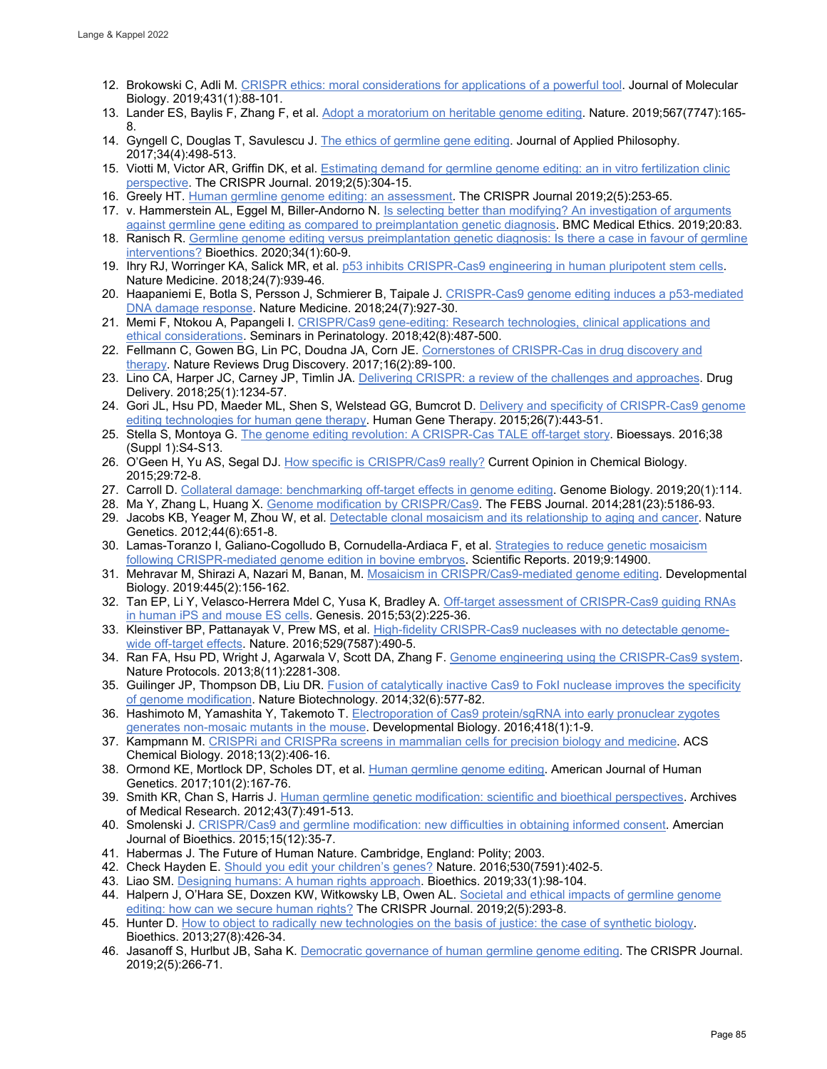- 12. Brokowski C, Adli M[. CRISPR ethics: moral considerations for applications of a powerful tool.](https://pubmed.ncbi.nlm.nih.gov/29885329/) Journal of Molecular Biology. 2019;431(1):88-101.
- 13. Lander ES, Baylis F, Zhang F, et al[. Adopt a moratorium on heritable genome editing.](https://www.nature.com/articles/d41586-019-00726-5) Nature. 2019;567(7747):165- 8.
- 14. Gyngell C, Douglas T, Savulescu J[. The ethics of germline gene editing.](https://pubmed.ncbi.nlm.nih.gov/28919655/) Journal of Applied Philosophy. 2017;34(4):498-513.
- 15. Viotti M, Victor AR, Griffin DK, et al[. Estimating demand for germline genome editing: an in vitro fertilization clinic](https://pubmed.ncbi.nlm.nih.gov/31599685/)  [perspective.](https://pubmed.ncbi.nlm.nih.gov/31599685/) The CRISPR Journal. 2019;2(5):304-15.
- 16. Greely HT[. Human germline genome editing: an assessment.](https://pubmed.ncbi.nlm.nih.gov/31599681/) The CRISPR Journal 2019;2(5):253-65.
- 17. v. Hammerstein AL, Eggel M, Biller-Andorno N. [Is selecting better than modifying? An investigation of arguments](https://bmcmedethics.biomedcentral.com/articles/10.1186/s12910-019-0411-9)  [against germline gene editing as compared to preimplantation genetic diagnosis.](https://bmcmedethics.biomedcentral.com/articles/10.1186/s12910-019-0411-9) BMC Medical Ethics. 2019;20:83.
- 18. Ranisch R. Germline genome editing versus preimplantation genetic diagnosis: Is there a case in favour of germline [interventions?](https://pubmed.ncbi.nlm.nih.gov/31448423/) Bioethics. 2020;34(1):60-9.
- 19. Ihry RJ, Worringer KA, Salick MR, et al[. p53 inhibits CRISPR-Cas9 engineering in human pluripotent stem cells.](https://www.nature.com/articles/s41591-018-0050-6) Nature Medicine. 2018;24(7):939-46.
- 20. Haapaniemi E, Botla S, Persson J, Schmierer B, Taipale J. [CRISPR-Cas9 genome editing induces a p53-mediated](https://www.nature.com/articles/s41591-018-0049-z)  [DNA damage response.](https://www.nature.com/articles/s41591-018-0049-z) Nature Medicine. 2018;24(7):927-30.
- 21. Memi F, Ntokou A, Papangeli I. CRISPR/Cas9 gene-editing: Research technologies, clinical applications and [ethical considerations.](https://pubmed.ncbi.nlm.nih.gov/30482590/) Seminars in Perinatology. 2018;42(8):487-500.
- 22. Fellmann C, Gowen BG, Lin PC, Doudna JA, Corn JE. Cornerstones of CRISPR-Cas in drug discovery and [therapy.](https://www.nature.com/articles/nrd.2016.238) Nature Reviews Drug Discovery. 2017;16(2):89-100.
- 23. Lino CA, Harper JC, Carney JP, Timlin JA. Delivering CRISPR: a [review of the challenges and approaches.](https://pubmed.ncbi.nlm.nih.gov/29801422/) Drug Delivery. 2018;25(1):1234-57.
- 24. Gori JL, Hsu PD, Maeder ML, Shen S, Welstead GG, Bumcrot D. [Delivery and specificity of CRISPR-Cas9 genome](https://pubmed.ncbi.nlm.nih.gov/26068008/)  [editing technologies for human gene therapy.](https://pubmed.ncbi.nlm.nih.gov/26068008/) Human Gene Therapy. 2015;26(7):443-51.
- 25. Stella S, Montoya G[. The genome editing revolution: A CRISPR-Cas TALE off-target story.](https://pubmed.ncbi.nlm.nih.gov/27417121/) Bioessays. 2016;38 (Suppl 1):S4-S13.
- 26. O'Geen H, Yu AS, Segal DJ[. How specific is CRISPR/Cas9 really?](https://pubmed.ncbi.nlm.nih.gov/26517564/) Current Opinion in Chemical Biology. 2015;29:72-8.
- 27. Carroll D. [Collateral damage: benchmarking off-target effects in genome editing.](https://genomebiology.biomedcentral.com/articles/10.1186/s13059-019-1725-0) Genome Biology. 2019;20(1):114.
- 28. Ma Y, Zhang L, Huang X[. Genome modification by CRISPR/Cas9.](https://pubmed.ncbi.nlm.nih.gov/25315507/) The FEBS Journal. 2014;281(23):5186-93.
- 29. Jacobs KB, Yeager M, Zhou W, et al. [Detectable clonal mosaicism and its relationship to aging and cancer.](https://pubmed.ncbi.nlm.nih.gov/22561519/) Nature Genetics. 2012;44(6):651-8.
- 30. Lamas-Toranzo I, Galiano-Cogolludo B, Cornudella-Ardiaca F, et al[. Strategies to reduce genetic mosaicism](https://www.nature.com/articles/s41598-019-51366-8)  [following CRISPR-mediated genome edition in bovine embryos.](https://www.nature.com/articles/s41598-019-51366-8) Scientific Reports. 2019;9:14900.
- 31. Mehravar M, Shirazi A, Nazari M, Banan, M. [Mosaicism in CRISPR/Cas9-mediated genome editing.](https://pubmed.ncbi.nlm.nih.gov/30359560/) Developmental Biology. 2019:445(2):156-162.
- 32. Tan EP, Li Y, Velasco-Herrera Mdel C, Yusa K, Bradley A[. Off-target assessment of CRISPR-Cas9 guiding RNAs](https://pubmed.ncbi.nlm.nih.gov/25378133/)  [in human iPS and mouse ES cells.](https://pubmed.ncbi.nlm.nih.gov/25378133/) Genesis. 2015;53(2):225-36.
- 33. Kleinstiver BP, Pattanayak V, Prew MS, et al[. High-fidelity CRISPR-Cas9 nucleases with no detectable genome](https://www.nature.com/articles/nature16526)[wide off-target effects.](https://www.nature.com/articles/nature16526) Nature. 2016;529(7587):490-5.
- 34. Ran FA, Hsu PD, Wright J, Agarwala V, Scott DA, Zhang F. [Genome engineering using the CRISPR-Cas9 system.](https://www.nature.com/articles/nprot.2013.143) Nature Protocols. 2013;8(11):2281-308.
- 35. Guilinger JP, Thompson DB, Liu DR[. Fusion of catalytically inactive Cas9 to FokI nuclease improves the specificity](https://www.nature.com/articles/nbt.2909)  [of genome modification.](https://www.nature.com/articles/nbt.2909) Nature Biotechnology. 2014;32(6):577-82.
- 36. Hashimoto M, Yamashita Y, Takemoto T[. Electroporation of Cas9 protein/sgRNA into early pronuclear zygotes](https://pubmed.ncbi.nlm.nih.gov/27474397/)  [generates non-mosaic mutants in the mouse.](https://pubmed.ncbi.nlm.nih.gov/27474397/) Developmental Biology. 2016;418(1):1-9.
- 37. Kampmann M[. CRISPRi and CRISPRa screens in mammalian cells for precision biology and medicine.](https://www.ncbi.nlm.nih.gov/pmc/articles/PMC5886776/) ACS Chemical Biology. 2018;13(2):406-16.
- 38. Ormond KE, Mortlock DP, Scholes DT, et al. [Human germline genome editing.](https://www.ncbi.nlm.nih.gov/pmc/articles/PMC5544380/) American Journal of Human Genetics. 2017;101(2):167-76.
- 39. Smith KR, Chan S, Harris J[. Human germline genetic modification: scientific and bioethical perspectives.](https://pubmed.ncbi.nlm.nih.gov/23072719/) Archives of Medical Research. 2012;43(7):491-513.
- 40. Smolenski J. [CRISPR/Cas9 and germline modification: new difficulties in obtaining informed consent.](https://pubmed.ncbi.nlm.nih.gov/26632359/) Amercian Journal of Bioethics. 2015;15(12):35-7.
- 41. Habermas J. The Future of Human Nature. Cambridge, England: Polity; 2003.
- 42. Check Hayden E. [Should you edit your children's genes?](https://www.nature.com/articles/530402a) Nature. 2016;530(7591):402-5.
- 43. Liao SM[. Designing humans: A human rights approach.](https://pubmed.ncbi.nlm.nih.gov/30311673/) Bioethics. 2019;33(1):98-104.
- 44. Halpern J, O'Hara SE, Doxzen KW, Witkowsky LB, Owen AL[. Societal and ethical impacts of germline genome](https://www.liebertpub.com/doi/10.1089/crispr.2019.0042)  [editing: how can we secure human rights?](https://www.liebertpub.com/doi/10.1089/crispr.2019.0042) The CRISPR Journal. 2019;2(5):293-8.
- 45. Hunter D[. How to object to radically new technologies on the basis of justice: the case of synthetic biology.](https://pubmed.ncbi.nlm.nih.gov/24010854/) Bioethics. 2013;27(8):426-34.
- 46. Jasanoff S, Hurlbut JB, Saha K[. Democratic governance of human germline genome editing.](https://pubmed.ncbi.nlm.nih.gov/31599682/) The CRISPR Journal. 2019;2(5):266-71.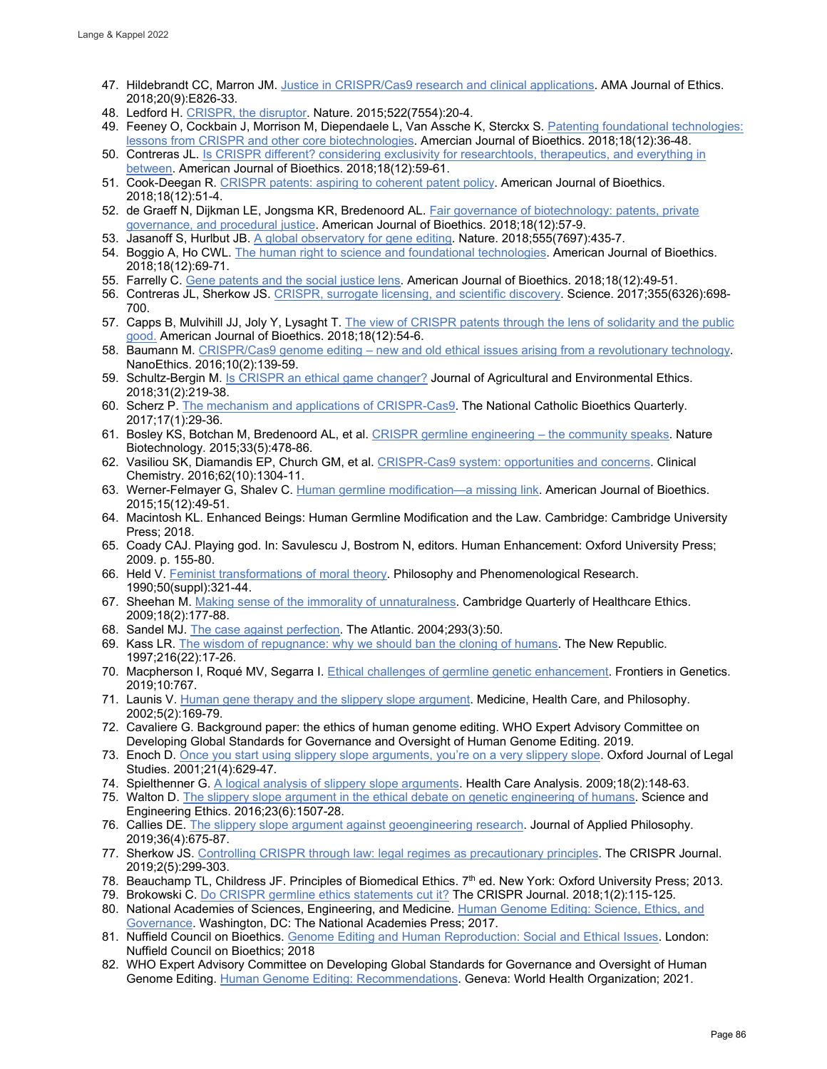- 47. Hildebrandt CC, Marron JM. [Justice in CRISPR/Cas9 research and clinical applications.](https://pubmed.ncbi.nlm.nih.gov/30242813/) AMA Journal of Ethics. 2018;20(9):E826-33.
- 48. Ledford H. [CRISPR, the disruptor.](https://www.nature.com/articles/522020a) Nature. 2015;522(7554):20-4.
- 49. Feeney O, Cockbain J, Morrison M, Diependaele L, Van Assche K, Sterckx S[. Patenting foundational technologies:](https://pubmed.ncbi.nlm.nih.gov/31159699/)  [lessons from CRISPR and other core biotechnologies.](https://pubmed.ncbi.nlm.nih.gov/31159699/) Amercian Journal of Bioethics. 2018;18(12):36-48.
- 50. Contreras JL. [Is CRISPR different? considering exclusivity for researchtools, therapeutics, and everything in](https://www.tandfonline.com/doi/abs/10.1080/15265161.2018.1531166) [between.](https://www.tandfonline.com/doi/abs/10.1080/15265161.2018.1531166) American Journal of Bioethics. 2018;18(12):59-61.
- 51. Cook-Deegan R. [CRISPR patents: aspiring to coherent patent policy.](https://www.tandfonline.com/doi/full/10.1080/15265161.2018.1533739) American Journal of Bioethics. 2018;18(12):51-4.
- 52. de Graeff N, Dijkman LE, Jongsma KR, Bredenoord AL. Fair governance of biotechnology: patents, private [governance, and procedural justice.](https://www.tandfonline.com/doi/full/10.1080/15265161.2018.1531176) American Journal of Bioethics. 2018;18(12):57-9.
- 53. Jasanoff S, Hurlbut JB. [A global observatory for gene editing.](https://www.nature.com/articles/d41586-018-03270-w) Nature. 2018;555(7697):435-7.
- 54. Boggio A, Ho CWL. [The human right to science and foundational technologies.](https://www.tandfonline.com/doi/abs/10.1080/15265161.2018.1531173?journalCode=uajb20) American Journal of Bioethics. 2018;18(12):69-71.
- 55. Farrelly C[. Gene patents and the social justice lens.](https://www.tandfonline.com/doi/abs/10.1080/15265161.2018.1531179) American Journal of Bioethics. 2018;18(12):49-51.
- 56. Contreras JL, Sherkow JS. [CRISPR, surrogate licensing, and scientific discovery.](https://www.science.org/doi/10.1126/science.aal4222) Science. 2017;355(6326):698- 700.
- 57. Capps B, Mulvihill JJ, Joly Y, Lysaght T[. The view of CRISPR patents through the](https://www.tandfonline.com/doi/abs/10.1080/15265161.2018.1531175?journalCode=uajb20) lens of solidarity and the public [good.](https://www.tandfonline.com/doi/abs/10.1080/15265161.2018.1531175?journalCode=uajb20) American Journal of Bioethics. 2018;18(12):54-6.
- 58. Baumann M. [CRISPR/Cas9 genome editing new and old ethical issues arising from a revolutionary technology.](https://link.springer.com/article/10.1007/s11569-016-0259-0) NanoEthics. 2016;10(2):139-59.
- 59. Schultz-Bergin M. [Is CRISPR an ethical game changer?](https://link.springer.com/article/10.1007/s10806-018-9721-z) Journal of Agricultural and Environmental Ethics. 2018;31(2):219-38.
- 60. Scherz P. [The mechanism and applications of CRISPR-Cas9.](https://www.pdcnet.org/ncbq/content/ncbq_2017_0017_0001_0029_0036) The National Catholic Bioethics Quarterly. 2017;17(1):29-36.
- 61. Bosley KS, Botchan M, Bredenoord AL, et al[. CRISPR germline engineering the community speaks.](https://www.nature.com/articles/nbt.3227) Nature Biotechnology. 2015;33(5):478-86.
- 62. Vasiliou SK, Diamandis EP, Church GM, et al[. CRISPR-Cas9 system: opportunities and concerns.](https://academic.oup.com/clinchem/article/62/10/1304/5611942) Clinical Chemistry. 2016;62(10):1304-11.
- 63. Werner-Felmayer G, Shalev C[. Human germline modification—a missing link.](https://www.tandfonline.com/doi/abs/10.1080/15265161.2015.1103810) American Journal of Bioethics. 2015;15(12):49-51.
- 64. Macintosh KL. Enhanced Beings: Human Germline Modification and the Law. Cambridge: Cambridge University Press; 2018.
- 65. Coady CAJ. Playing god. In: Savulescu J, Bostrom N, editors. Human Enhancement: Oxford University Press; 2009. p. 155-80.
- 66. Held V[. Feminist transformations of moral theory.](https://www.jstor.org/stable/2108046) Philosophy and Phenomenological Research. 1990;50(suppl):321-44.
- 67. Sheehan M[. Making sense of the immorality of unnaturalness.](https://www.cambridge.org/core/journals/cambridge-quarterly-of-healthcare-ethics/article/abs/making-sense-of-the-immorality-of-unnaturalness/A44D8AFA4500DE40F38DB83E7EF6A730) Cambridge Quarterly of Healthcare Ethics. 2009;18(2):177-88.
- 68. Sandel MJ. [The case against perfection.](https://www.theatlantic.com/magazine/archive/2004/04/the-case-against-perfection/302927/) The Atlantic. 2004;293(3):50.
- 69. Kass LR[. The wisdom of repugnance: why we should ban the cloning of humans.](https://pubmed.ncbi.nlm.nih.gov/11654974/) The New Republic. 1997;216(22):17-26.
- 70. Macpherson I, Roqué MV, Segarra I[. Ethical challenges of germline genetic enhancement.](https://www.frontiersin.org/articles/10.3389/fgene.2019.00767/full) Frontiers in Genetics. 2019;10:767.
- 71. Launis V[. Human gene therapy and the slippery slope argument.](https://pubmed.ncbi.nlm.nih.gov/12168992/) Medicine, Health Care, and Philosophy. 2002;5(2):169-79.
- 72. Cavaliere G. Background paper: the ethics of human genome editing. WHO Expert Advisory Committee on Developing Global Standards for Governance and Oversight of Human Genome Editing. 2019.
- 73. Enoch D. Once you start [using slippery slope arguments, you're on a very slippery slope.](https://academic.oup.com/ojls/article-abstract/21/4/629/1459375) Oxford Journal of Legal Studies. 2001;21(4):629-47.
- 74. Spielthenner G[. A logical analysis of slippery slope arguments.](https://pubmed.ncbi.nlm.nih.gov/19507036/) Health Care Analysis. 2009;18(2):148-63.
- 75. Walton D[. The slippery slope argument in the ethical debate on genetic engineering of humans.](https://pubmed.ncbi.nlm.nih.gov/28000092/) Science and Engineering Ethics. 2016;23(6):1507-28.
- 76. Callies DE[. The slippery slope argument against geoengineering research.](https://onlinelibrary.wiley.com/doi/abs/10.1111/japp.12345) Journal of Applied Philosophy. 2019;36(4):675-87.
- 77. Sherkow JS[. Controlling CRISPR through law: legal regimes as precautionary principles.](https://pubmed.ncbi.nlm.nih.gov/31599678/) The CRISPR Journal. 2019;2(5):299-303.
- 78. Beauchamp TL, Childress JF. Principles of Biomedical Ethics. 7th ed. New York: Oxford University Press; 2013.
- 79. Brokowski C[. Do CRISPR germline ethics statements cut it?](https://pubmed.ncbi.nlm.nih.gov/31021208/) The CRISPR Journal. 2018;1(2):115-125.
- 80. National Academies of Sciences, Engineering, and Medicine. [Human Genome Editing: Science, Ethics, and](https://nap.nationalacademies.org/catalog/24623/human-genome-editing-science-ethics-and-governance)  [Governance.](https://nap.nationalacademies.org/catalog/24623/human-genome-editing-science-ethics-and-governance) Washington, DC: The National Academies Press; 2017.
- 81. Nuffield Council on Bioethics. [Genome Editing and Human Reproduction: Social and Ethical Issues.](https://www.nuffieldbioethics.org/publications/genome-editing-and-human-reproduction) London: Nuffield Council on Bioethics; 2018
- 82. WHO Expert Advisory Committee on Developing Global Standards for Governance and Oversight of Human Genome Editing. [Human Genome Editing: Recommendations.](https://www.who.int/publications/i/item/9789240030381) Geneva: World Health Organization; 2021.